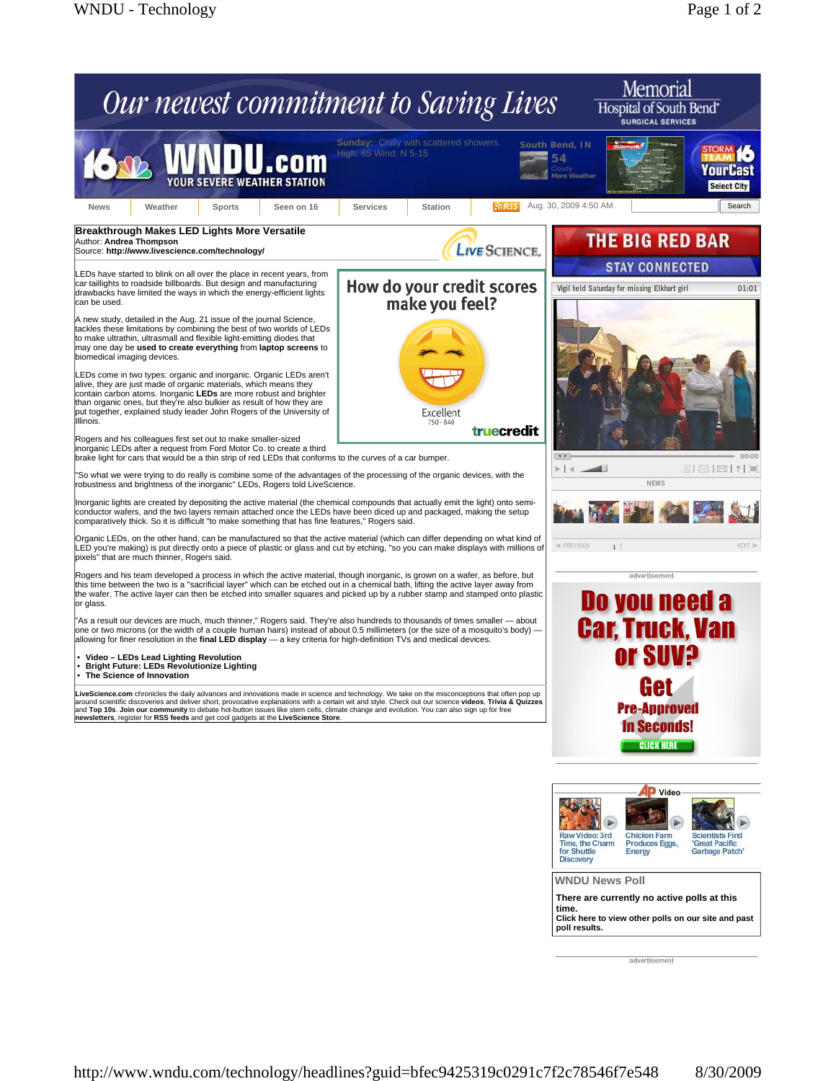